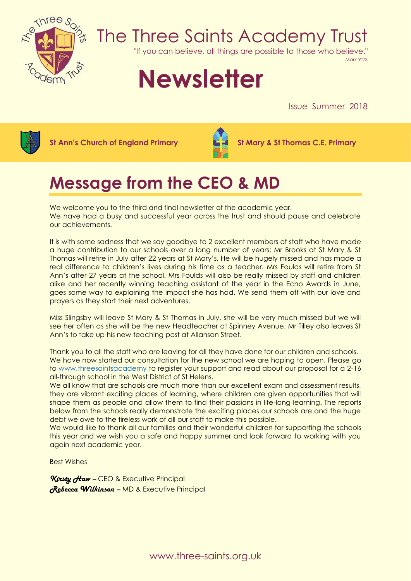

## The Three Saints Academy Trust

"If you can believe, all things are possible to those who believe."

Mark 9:23

# **Newsletter**

Issue Summer 2018



**St Ann's Church of England Primary St Mary & St Thomas C.E. Primary**



### **Message from the CEO & MD**

We welcome you to the third and final newsletter of the academic year. We have had a busy and successful year across the trust and should pause and celebrate our achievements.

It is with some sadness that we say goodbye to 2 excellent members of staff who have made a huge contribution to our schools over a long number of years; Mr Brooks at St Mary & St Thomas will retire in July after 22 years at St Mary's. He will be hugely missed and has made a real difference to children's lives during his time as a teacher. Mrs Foulds will retire from St Ann's after 27 years at the school. Mrs Foulds will also be really missed by staff and children alike and her recently winning teaching assistant of the year in the Echo Awards in June, goes some way to explaining the impact she has had. We send them off with our love and prayers as they start their next adventures.

Miss Slingsby will leave St Mary & St Thomas in July, she will be very much missed but we will see her often as she will be the new Headteacher at Spinney Avenue. Mr Tilley also leaves St Ann's to take up his new teaching post at Allanson Street.

Thank you to all the staff who are leaving for all they have done for our children and schools. We have now started our consultation for the new school we are hoping to open. Please go to [www.threesaintsacademy](http://www.threesaintsacademy/) to register your support and read about our proposal for a 2-16 all-through school in the West District of St Helens.

We all know that are schools are much more than our excellent exam and assessment results, they are vibrant exciting places of learning, where children are given opportunities that will shape them as people and allow them to find their passions in life-long learning. The reports below from the schools really demonstrate the exciting places our schools are and the huge debt we owe to the tireless work of all our staff to make this possible.

We would like to thank all our families and their wonderful children for supporting the schools this year and we wish you a safe and happy summer and look forward to working with you again next academic year.

Best Wishes

*Kirsty Haw –* CEO & Executive Principal *Rebecca Wilkinson –* MD & Executive Principal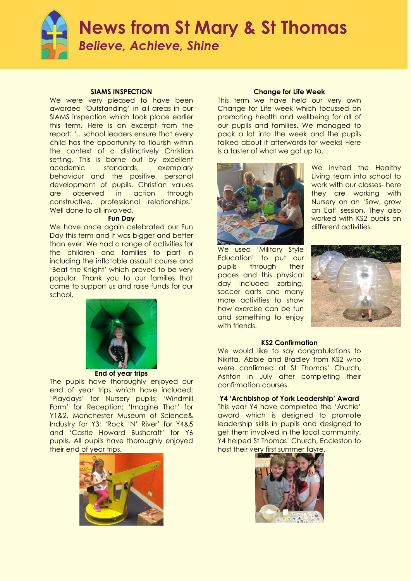

### **News from St Mary & St Thomas** *Believe, Achieve, Shine*

#### **SIAMS INSPECTION**

We were very pleased to have been awarded 'Outstanding' in all areas in our SIAMS inspection which took place earlier this term. Here is an excerpt from the report: '…school leaders ensure that every child has the opportunity to flourish within the context of a distinctively Christian setting. This is borne out by excellent academic standards, exemplary behaviour and the positive, personal development of pupils. Christian values are observed in action through constructive, professional relationships.' Well done to all involved.

#### **Fun Day**

We have once again celebrated our Fun Day this term and it was bigger and better than ever. We had a range of activities for the children and families to part in including the inflatable assault course and 'Beat the Knight' which proved to be very popular. Thank you to our families that came to support us and raise funds for our school.



**End of year trips**

The pupils have thoroughly enjoyed our end of year trips which have included: 'Playdays' for Nursery pupils; 'Windmill Farm' for Reception; 'Imagine That' for Y1&2, Manchester Museum of Science& Industry for Y3; 'Rock 'N' River' for Y4&5 and 'Castle Howard Bushcraft' for Y6 pupils. All pupils have thoroughly enjoyed their end of year trips.



#### **Change for Life Week**

This term we have held our very own Change for Life week which focussed on promoting health and wellbeing for all of our pupils and families. We managed to pack a lot into the week and the pupils talked about it afterwards for weeks! Here is a taster of what we got up to…



We invited the Healthy Living team into school to work with our classes- here they are working with Nursery on an 'Sow, grow an Eat' session. They also worked with KS2 pupils on different activities.

We used 'Military Style Education' to put our pupils through their paces and this physical day included zorbing, soccer darts and many more activities to show how exercise can be fun and something to enjoy with friends.



#### **KS2 Confirmation**

We would like to say congratulations to Nikitta, Abbie and Bradley from KS2 who were confirmed at St Thomas' Church, Ashton in July after completing their confirmation courses.

#### **Y4 'Archbishop of York Leadership' Award**

This year Y4 have completed the 'Archie' award which is designed to promote leadership skills in pupils and designed to get them involved in the local community. Y4 helped St Thomas' Church, Eccleston to host their very first summer fayre.